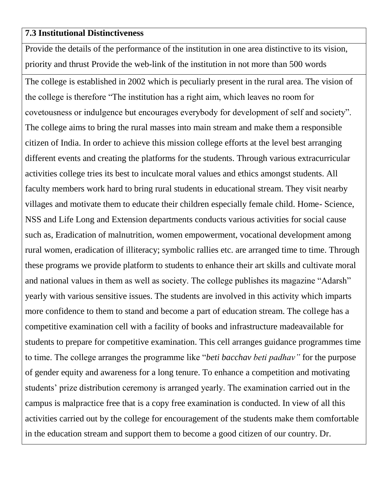## **7.3 Institutional Distinctiveness**

Provide the details of the performance of the institution in one area distinctive to its vision, priority and thrust Provide the web-link of the institution in not more than 500 words

The college is established in 2002 which is peculiarly present in the rural area. The vision of the college is therefore "The institution has a right aim, which leaves no room for covetousness or indulgence but encourages everybody for development of self and society". The college aims to bring the rural masses into main stream and make them a responsible citizen of India. In order to achieve this mission college efforts at the level best arranging different events and creating the platforms for the students. Through various extracurricular activities college tries its best to inculcate moral values and ethics amongst students. All faculty members work hard to bring rural students in educational stream. They visit nearby villages and motivate them to educate their children especially female child. Home- Science, NSS and Life Long and Extension departments conducts various activities for social cause such as, Eradication of malnutrition, women empowerment, vocational development among rural women, eradication of illiteracy; symbolic rallies etc. are arranged time to time. Through these programs we provide platform to students to enhance their art skills and cultivate moral and national values in them as well as society. The college publishes its magazine "Adarsh" yearly with various sensitive issues. The students are involved in this activity which imparts more confidence to them to stand and become a part of education stream. The college has a competitive examination cell with a facility of books and infrastructure madeavailable for students to prepare for competitive examination. This cell arranges guidance programmes time to time. The college arranges the programme like "*beti bacchav beti padhav"* for the purpose of gender equity and awareness for a long tenure. To enhance a competition and motivating students' prize distribution ceremony is arranged yearly. The examination carried out in the campus is malpractice free that is a copy free examination is conducted. In view of all this activities carried out by the college for encouragement of the students make them comfortable in the education stream and support them to become a good citizen of our country. Dr.